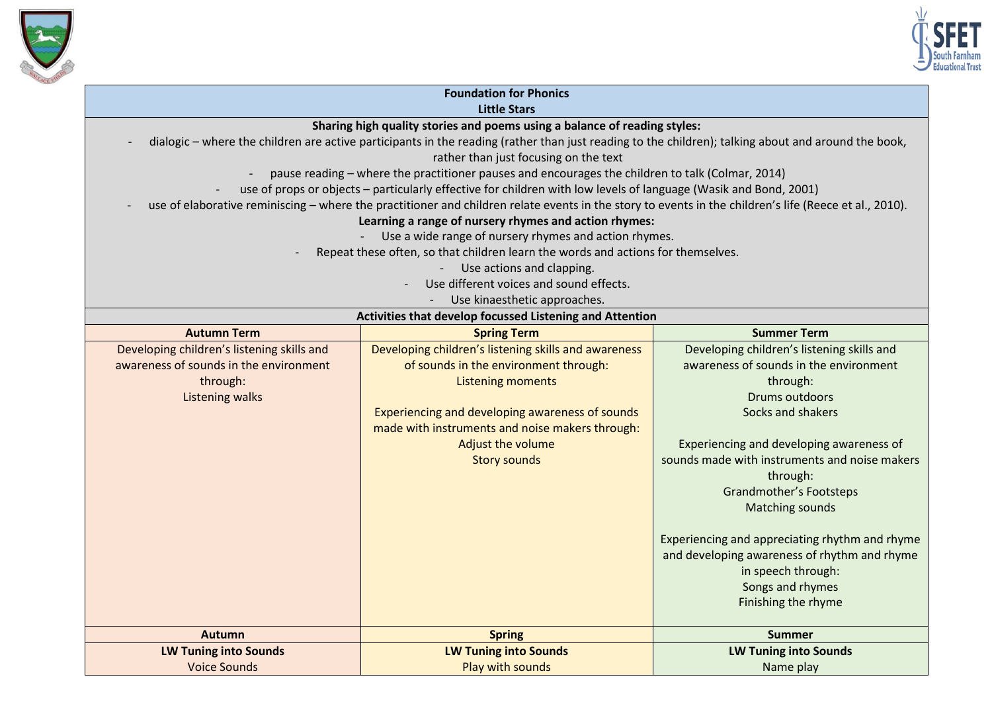



| <b>Foundation for Phonics</b>                                                                                                                          |                                                                                                                  |                                                |  |
|--------------------------------------------------------------------------------------------------------------------------------------------------------|------------------------------------------------------------------------------------------------------------------|------------------------------------------------|--|
| <b>Little Stars</b>                                                                                                                                    |                                                                                                                  |                                                |  |
| Sharing high quality stories and poems using a balance of reading styles:                                                                              |                                                                                                                  |                                                |  |
| dialogic – where the children are active participants in the reading (rather than just reading to the children); talking about and around the book,    |                                                                                                                  |                                                |  |
|                                                                                                                                                        | rather than just focusing on the text                                                                            |                                                |  |
|                                                                                                                                                        | pause reading - where the practitioner pauses and encourages the children to talk (Colmar, 2014)                 |                                                |  |
|                                                                                                                                                        | use of props or objects - particularly effective for children with low levels of language (Wasik and Bond, 2001) |                                                |  |
| use of elaborative reminiscing - where the practitioner and children relate events in the story to events in the children's life (Reece et al., 2010). |                                                                                                                  |                                                |  |
| Learning a range of nursery rhymes and action rhymes:                                                                                                  |                                                                                                                  |                                                |  |
| Use a wide range of nursery rhymes and action rhymes.                                                                                                  |                                                                                                                  |                                                |  |
| Repeat these often, so that children learn the words and actions for themselves.                                                                       |                                                                                                                  |                                                |  |
| Use actions and clapping.                                                                                                                              |                                                                                                                  |                                                |  |
| Use different voices and sound effects.                                                                                                                |                                                                                                                  |                                                |  |
| Use kinaesthetic approaches.                                                                                                                           |                                                                                                                  |                                                |  |
| Activities that develop focussed Listening and Attention                                                                                               |                                                                                                                  |                                                |  |
| <b>Autumn Term</b>                                                                                                                                     | <b>Spring Term</b>                                                                                               | <b>Summer Term</b>                             |  |
| Developing children's listening skills and                                                                                                             | Developing children's listening skills and awareness                                                             | Developing children's listening skills and     |  |
| awareness of sounds in the environment                                                                                                                 | of sounds in the environment through:                                                                            | awareness of sounds in the environment         |  |
| through:                                                                                                                                               | <b>Listening moments</b>                                                                                         | through:                                       |  |
| <b>Listening walks</b>                                                                                                                                 |                                                                                                                  | <b>Drums outdoors</b>                          |  |
|                                                                                                                                                        | Experiencing and developing awareness of sounds                                                                  | Socks and shakers                              |  |
|                                                                                                                                                        | made with instruments and noise makers through:                                                                  |                                                |  |
|                                                                                                                                                        | Adjust the volume                                                                                                | Experiencing and developing awareness of       |  |
|                                                                                                                                                        | <b>Story sounds</b>                                                                                              | sounds made with instruments and noise makers  |  |
|                                                                                                                                                        |                                                                                                                  | through:                                       |  |
|                                                                                                                                                        |                                                                                                                  | <b>Grandmother's Footsteps</b>                 |  |
|                                                                                                                                                        |                                                                                                                  | <b>Matching sounds</b>                         |  |
|                                                                                                                                                        |                                                                                                                  |                                                |  |
|                                                                                                                                                        |                                                                                                                  | Experiencing and appreciating rhythm and rhyme |  |
|                                                                                                                                                        |                                                                                                                  | and developing awareness of rhythm and rhyme   |  |
|                                                                                                                                                        |                                                                                                                  | in speech through:                             |  |
|                                                                                                                                                        |                                                                                                                  | Songs and rhymes                               |  |
|                                                                                                                                                        |                                                                                                                  | Finishing the rhyme                            |  |
|                                                                                                                                                        |                                                                                                                  |                                                |  |
| <b>Autumn</b>                                                                                                                                          | <b>Spring</b>                                                                                                    | <b>Summer</b>                                  |  |
| <b>LW Tuning into Sounds</b>                                                                                                                           | <b>LW Tuning into Sounds</b>                                                                                     | <b>LW Tuning into Sounds</b>                   |  |
| <b>Voice Sounds</b>                                                                                                                                    | Play with sounds                                                                                                 | Name play                                      |  |